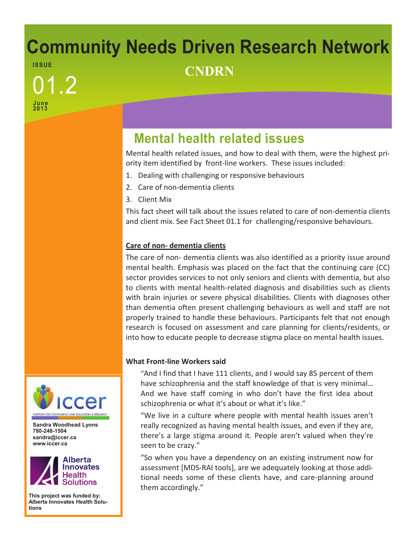## **Community Needs Driven Research Network ISS UE CNDRN**

**June 2013** 01.2

# **Mental health related issues**

Mental health related issues, and how to deal with them, were the highest priority item identified by front-line workers. These issues included:

- 1. Dealing with challenging or responsive behaviours
- 2. Care of non-dementia clients
- 3. Client Mix

This fact sheet will talk about the issues related to care of non-dementia clients and client mix. See Fact Sheet 01.1 for challenging/responsive behaviours.

### **Care of non- dementia clients**

The care of non- dementia clients was also identified as a priority issue around mental health. Emphasis was placed on the fact that the continuing care (CC) sector provides services to not only seniors and clients with dementia, but also to clients with mental health-related diagnosis and disabilities such as clients with brain injuries or severe physical disabilities. Clients with diagnoses other than dementia often present challenging behaviours as well and staff are not properly trained to handle these behaviours. Participants felt that not enough research is focused on assessment and care planning for clients/residents, or into how to educate people to decrease stigma place on mental health issues.

### **What Front-line Workers said**

"And I find that I have 111 clients, and I would say 85 percent of them have schizophrenia and the staff knowledge of that is very minimal… And we have staff coming in who don't have the first idea about schizophrenia or what it's about or what it's like."

"We live in a culture where people with mental health issues aren't really recognized as having mental health issues, and even if they are, there's a large stigma around it. People aren't valued when they're seen to be crazy."

"So when you have a dependency on an existing instrument now for assessment [MDS-RAI tools], are we adequately looking at those additional needs some of these clients have, and care-planning around them accordingly."



**Sandra Woodhead Lyons 780-248-1504 sandra@iccer.ca www.iccer.ca** 



**This project was funded by: Alberta Innovates Health Solutions**